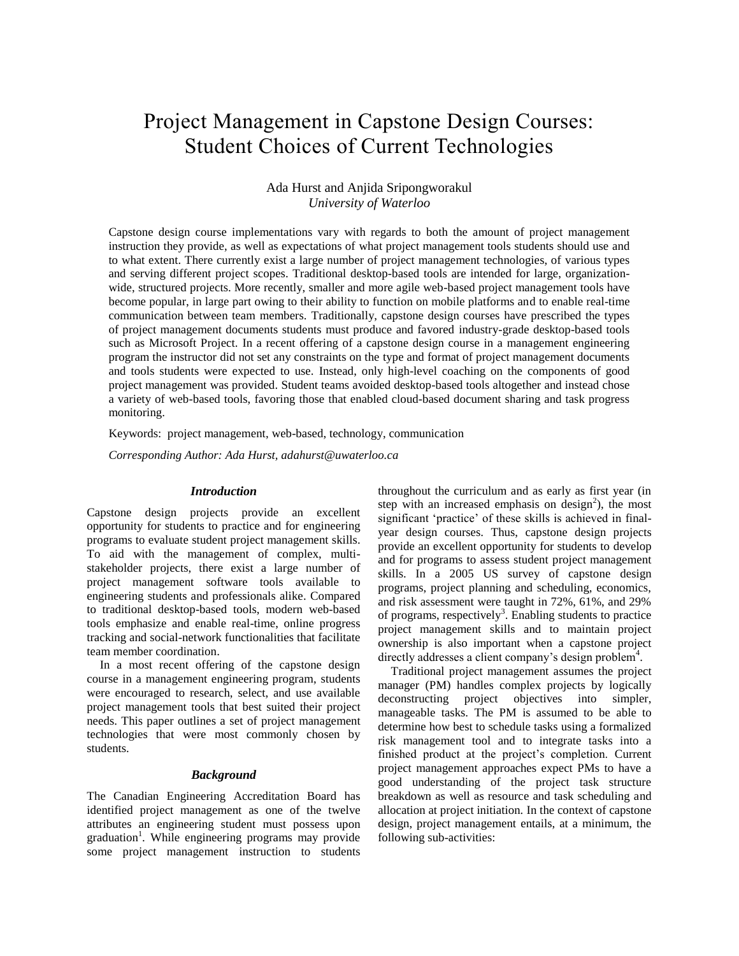# Project Management in Capstone Design Courses: Student Choices of Current Technologies

# Ada Hurst and Anjida Sripongworakul *University of Waterloo*

Capstone design course implementations vary with regards to both the amount of project management instruction they provide, as well as expectations of what project management tools students should use and to what extent. There currently exist a large number of project management technologies, of various types and serving different project scopes. Traditional desktop-based tools are intended for large, organizationwide, structured projects. More recently, smaller and more agile web-based project management tools have become popular, in large part owing to their ability to function on mobile platforms and to enable real-time communication between team members. Traditionally, capstone design courses have prescribed the types of project management documents students must produce and favored industry-grade desktop-based tools such as Microsoft Project. In a recent offering of a capstone design course in a management engineering program the instructor did not set any constraints on the type and format of project management documents and tools students were expected to use. Instead, only high-level coaching on the components of good project management was provided. Student teams avoided desktop-based tools altogether and instead chose a variety of web-based tools, favoring those that enabled cloud-based document sharing and task progress monitoring.

Keywords: project management, web-based, technology, communication

*Corresponding Author: Ada Hurst, adahurst@uwaterloo.ca*

### *Introduction*

Capstone design projects provide an excellent opportunity for students to practice and for engineering programs to evaluate student project management skills. To aid with the management of complex, multistakeholder projects, there exist a large number of project management software tools available to engineering students and professionals alike. Compared to traditional desktop-based tools, modern web-based tools emphasize and enable real-time, online progress tracking and social-network functionalities that facilitate team member coordination.

In a most recent offering of the capstone design course in a management engineering program, students were encouraged to research, select, and use available project management tools that best suited their project needs. This paper outlines a set of project management technologies that were most commonly chosen by students.

#### *Background*

The Canadian Engineering Accreditation Board has identified project management as one of the twelve attributes an engineering student must possess upon graduation<sup>1</sup>. While engineering programs may provide some project management instruction to students

throughout the curriculum and as early as first year (in step with an increased emphasis on  $design^2$ ), the most significant 'practice' of these skills is achieved in finalyear design courses. Thus, capstone design projects provide an excellent opportunity for students to develop and for programs to assess student project management skills. In a 2005 US survey of capstone design programs, project planning and scheduling, economics, and risk assessment were taught in 72%, 61%, and 29% of programs, respectively<sup>3</sup>. Enabling students to practice project management skills and to maintain project ownership is also important when a capstone project directly addresses a client company's design problem<sup>4</sup>.

Traditional project management assumes the project manager (PM) handles complex projects by logically deconstructing project objectives into simpler, manageable tasks. The PM is assumed to be able to determine how best to schedule tasks using a formalized risk management tool and to integrate tasks into a finished product at the project's completion. Current project management approaches expect PMs to have a good understanding of the project task structure breakdown as well as resource and task scheduling and allocation at project initiation. In the context of capstone design, project management entails, at a minimum, the following sub-activities: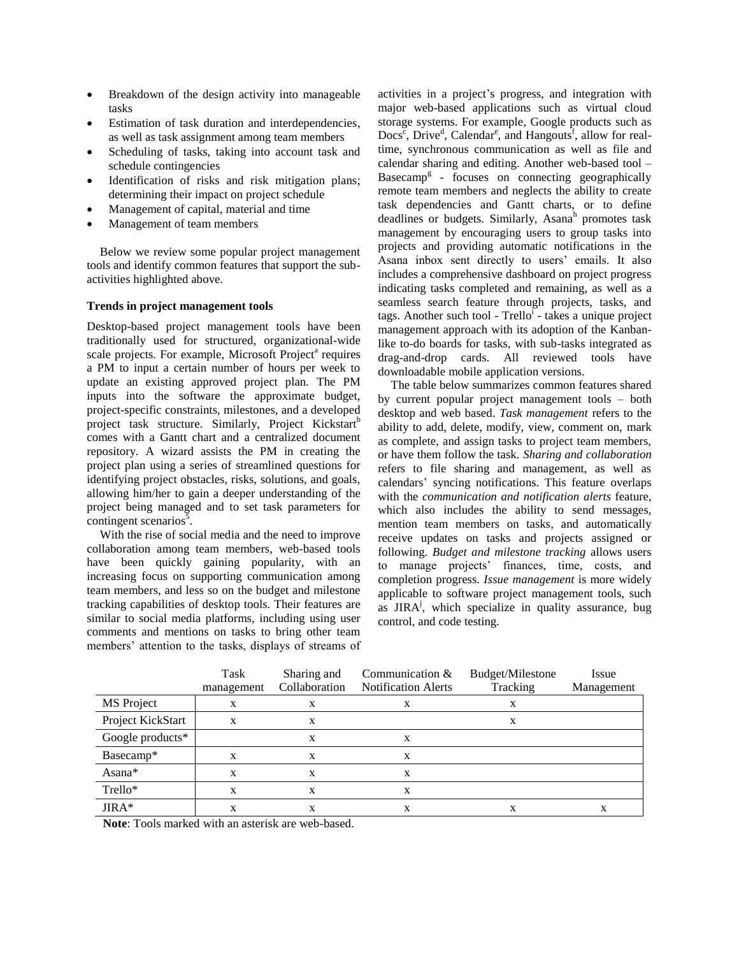- Breakdown of the design activity into manageable tasks
- Estimation of task duration and interdependencies, as well as task assignment among team members
- Scheduling of tasks, taking into account task and schedule contingencies
- Identification of risks and risk mitigation plans; determining their impact on project schedule
- Management of capital, material and time
- Management of team members

Below we review some popular project management tools and identify common features that support the subactivities highlighted above.

## **Trends in project management tools**

Desktop-based project management tools have been traditionally used for structured, organizational-wide scale projects. For example, Microsoft Project<sup>a</sup> requires a PM to input a certain number of hours per week to update an existing approved project plan. The PM inputs into the software the approximate budget, project-specific constraints, milestones, and a developed project task structure. Similarly, Project Kickstart<sup>b</sup> comes with a Gantt chart and a centralized document repository. A wizard assists the PM in creating the project plan using a series of streamlined questions for identifying project obstacles, risks, solutions, and goals, allowing him/her to gain a deeper understanding of the project being managed and to set task parameters for contingent scenarios $\bar{5}$ .

With the rise of social media and the need to improve collaboration among team members, web-based tools have been quickly gaining popularity, with an increasing focus on supporting communication among team members, and less so on the budget and milestone tracking capabilities of desktop tools. Their features are similar to social media platforms, including using user comments and mentions on tasks to bring other team members' attention to the tasks, displays of streams of activities in a project's progress, and integration with major web-based applications such as virtual cloud storage systems. For example, Google products such as Docs<sup>c</sup>, Drive<sup>d</sup>, Calendar<sup>e</sup>, and Hangouts<sup>f</sup>, allow for realtime, synchronous communication as well as file and calendar sharing and editing. Another web-based tool – Basecamp<sup>g</sup> - focuses on connecting geographically remote team members and neglects the ability to create task dependencies and Gantt charts, or to define deadlines or budgets. Similarly, Asanah promotes task management by encouraging users to group tasks into projects and providing automatic notifications in the Asana inbox sent directly to users' emails. It also includes a comprehensive dashboard on project progress indicating tasks completed and remaining, as well as a seamless search feature through projects, tasks, and tags. Another such tool - Trello<sup>i</sup> - takes a unique project management approach with its adoption of the Kanbanlike to-do boards for tasks, with sub-tasks integrated as drag-and-drop cards. All reviewed tools have downloadable mobile application versions.

The table below summarizes common features shared by current popular project management tools – both desktop and web based. *Task management* refers to the ability to add, delete, modify, view, comment on, mark as complete, and assign tasks to project team members, or have them follow the task. *Sharing and collaboration* refers to file sharing and management, as well as calendars' syncing notifications. This feature overlaps with the *communication and notification alerts* feature, which also includes the ability to send messages, mention team members on tasks, and automatically receive updates on tasks and projects assigned or following. *Budget and milestone tracking* allows users to manage projects' finances, time, costs, and completion progress. *Issue management* is more widely applicable to software project management tools, such as JIRA<sup>j</sup>, which specialize in quality assurance, bug control, and code testing.

|                   | Task<br>management | Sharing and<br>Collaboration | Communication &<br><b>Notification Alerts</b> | Budget/Milestone<br>Tracking | Issue<br>Management |
|-------------------|--------------------|------------------------------|-----------------------------------------------|------------------------------|---------------------|
| MS Project        | X                  | X                            | X                                             |                              |                     |
| Project KickStart | X                  | X                            |                                               | X                            |                     |
| Google products*  |                    | X                            | x                                             |                              |                     |
| Basecamp*         | X                  | X                            | X                                             |                              |                     |
| Asana*            | X                  | X                            | X                                             |                              |                     |
| Trello*           | X                  | X                            | x                                             |                              |                     |
| JIRA*             |                    | X                            | X                                             |                              | x                   |

**Note**: Tools marked with an asterisk are web-based.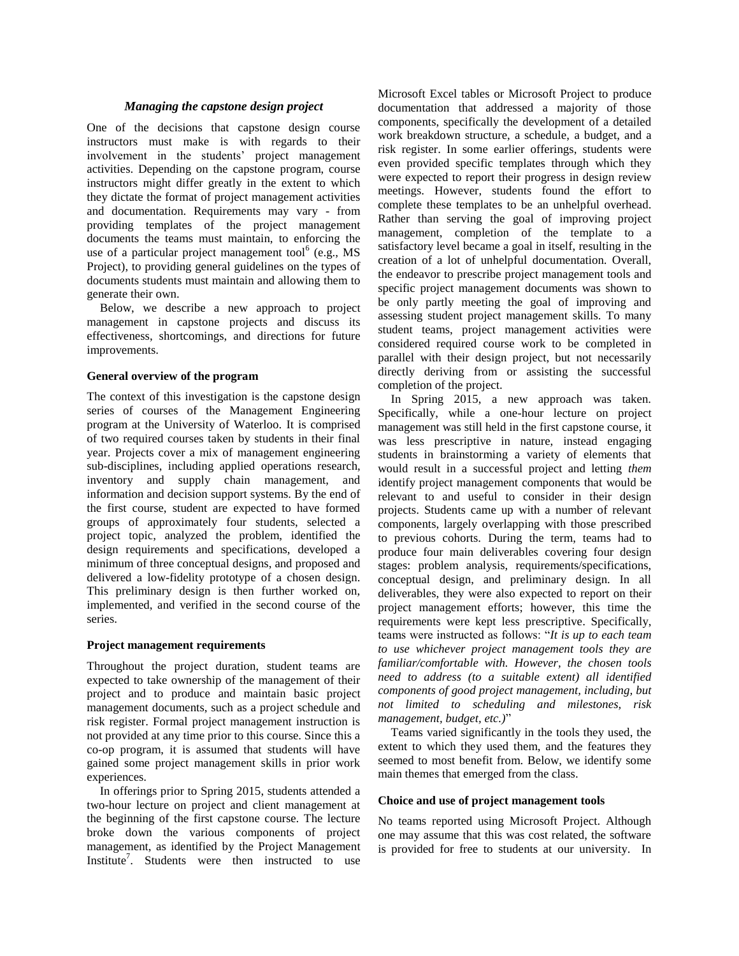# *Managing the capstone design project*

One of the decisions that capstone design course instructors must make is with regards to their involvement in the students' project management activities. Depending on the capstone program, course instructors might differ greatly in the extent to which they dictate the format of project management activities and documentation. Requirements may vary - from providing templates of the project management documents the teams must maintain, to enforcing the use of a particular project management tool $^{6}$  (e.g., MS) Project), to providing general guidelines on the types of documents students must maintain and allowing them to generate their own.

Below, we describe a new approach to project management in capstone projects and discuss its effectiveness, shortcomings, and directions for future improvements.

#### **General overview of the program**

The context of this investigation is the capstone design series of courses of the Management Engineering program at the University of Waterloo. It is comprised of two required courses taken by students in their final year. Projects cover a mix of management engineering sub-disciplines, including applied operations research, inventory and supply chain management, and information and decision support systems. By the end of the first course, student are expected to have formed groups of approximately four students, selected a project topic, analyzed the problem, identified the design requirements and specifications, developed a minimum of three conceptual designs, and proposed and delivered a low-fidelity prototype of a chosen design. This preliminary design is then further worked on, implemented, and verified in the second course of the series.

## **Project management requirements**

Throughout the project duration, student teams are expected to take ownership of the management of their project and to produce and maintain basic project management documents, such as a project schedule and risk register. Formal project management instruction is not provided at any time prior to this course. Since this a co-op program, it is assumed that students will have gained some project management skills in prior work experiences.

In offerings prior to Spring 2015, students attended a two-hour lecture on project and client management at the beginning of the first capstone course. The lecture broke down the various components of project management, as identified by the Project Management Institute<sup>7</sup>. Students were then instructed to use Microsoft Excel tables or Microsoft Project to produce documentation that addressed a majority of those components, specifically the development of a detailed work breakdown structure, a schedule, a budget, and a risk register. In some earlier offerings, students were even provided specific templates through which they were expected to report their progress in design review meetings. However, students found the effort to complete these templates to be an unhelpful overhead. Rather than serving the goal of improving project management, completion of the template to a satisfactory level became a goal in itself, resulting in the creation of a lot of unhelpful documentation. Overall, the endeavor to prescribe project management tools and specific project management documents was shown to be only partly meeting the goal of improving and assessing student project management skills. To many student teams, project management activities were considered required course work to be completed in parallel with their design project, but not necessarily directly deriving from or assisting the successful completion of the project.

In Spring 2015, a new approach was taken. Specifically, while a one-hour lecture on project management was still held in the first capstone course, it was less prescriptive in nature, instead engaging students in brainstorming a variety of elements that would result in a successful project and letting *them* identify project management components that would be relevant to and useful to consider in their design projects. Students came up with a number of relevant components, largely overlapping with those prescribed to previous cohorts. During the term, teams had to produce four main deliverables covering four design stages: problem analysis, requirements/specifications, conceptual design, and preliminary design. In all deliverables, they were also expected to report on their project management efforts; however, this time the requirements were kept less prescriptive. Specifically, teams were instructed as follows: "*It is up to each team to use whichever project management tools they are familiar/comfortable with. However, the chosen tools need to address (to a suitable extent) all identified components of good project management, including, but not limited to scheduling and milestones, risk management, budget, etc.)*"

Teams varied significantly in the tools they used, the extent to which they used them, and the features they seemed to most benefit from. Below, we identify some main themes that emerged from the class.

#### **Choice and use of project management tools**

No teams reported using Microsoft Project. Although one may assume that this was cost related, the software is provided for free to students at our university. In